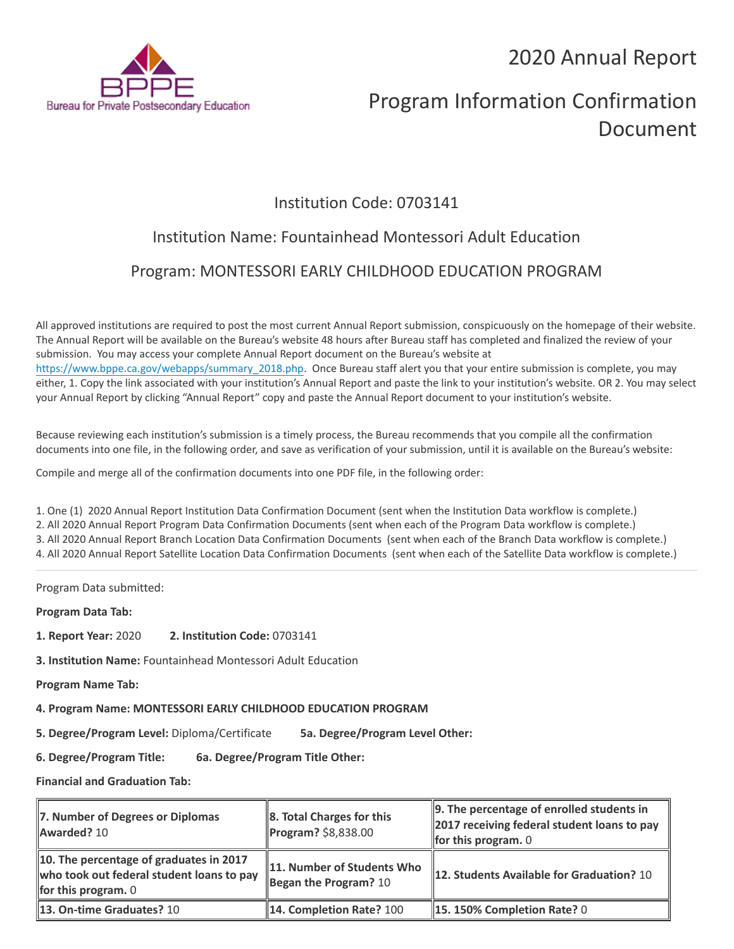2020 Annual Report



# Program Information Confirmation Document

### Institution Code: 0703141

## Institution Name: Fountainhead Montessori Adult Education Program: MONTESSORI EARLY CHILDHOOD EDUCATION PROGRAM

All approved institutions are required to post the most current Annual Report submission, conspicuously on the homepage of their website. The Annual Report will be available on the Bureau's website 48 hours after Bureau staff has completed and finalized the review of your submission. You may access your complete Annual Report document on the Bureau's website at [https://www.bppe.ca.gov/webapps/summary\\_2018.php.](https://www.bppe.ca.gov/webapps/summary_2018.php) Once Bureau staff alert you that your entire submission is complete, you may either, 1. Copy the link associated with your institution's Annual Report and paste the link to your institution's website. OR 2. You may select your Annual Report by clicking "Annual Report" copy and paste the Annual Report document to your institution's website.

Because reviewing each institution's submission is a timely process, the Bureau recommends that you compile all the confirmation documents into one file, in the following order, and save as verification of your submission, until it is available on the Bureau's website:

Compile and merge all of the confirmation documents into one PDF file, in the following order:

1. One (1) 2020 Annual Report Institution Data Confirmation Document (sent when the Institution Data workflow is complete.) 2. All 2020 Annual Report Program Data Confirmation Documents (sent when each of the Program Data workflow is complete.) 3. All 2020 Annual Report Branch Location Data Confirmation Documents (sent when each of the Branch Data workflow is complete.) 4. All 2020 Annual Report Satellite Location Data Confirmation Documents (sent when each of the Satellite Data workflow is complete.)

Program Data submitted:

**Program Data Tab:**

- **1. Report Year:** 2020 **2. Institution Code:** 0703141
- **3. Institution Name:** Fountainhead Montessori Adult Education

**Program Name Tab:**

**4. Program Name: MONTESSORI EARLY CHILDHOOD EDUCATION PROGRAM** 

**5. Degree/Program Level:** Diploma/Certificate **5a. Degree/Program Level Other:**

**6. Degree/Program Title: 6a. Degree/Program Title Other:**

**Financial and Graduation Tab:**

| 7. Number of Degrees or Diplomas<br>Awarded? 10                                                               | $\ 8.$ Total Charges for this<br>$\ $ Program? \$8,838.00 | $\parallel$ 9. The percentage of enrolled students in<br>  2017 receiving federal student loans to pay<br><b>for this program.</b> $0$ |
|---------------------------------------------------------------------------------------------------------------|-----------------------------------------------------------|----------------------------------------------------------------------------------------------------------------------------------------|
| 10. The percentage of graduates in 2017<br>who took out federal student loans to pay<br>for this program. $0$ | 11. Number of Students Who<br>Began the Program? $10$     | 12. Students Available for Graduation? 10                                                                                              |
| <b>13. On-time Graduates? 10</b>                                                                              | 14. Completion Rate? 100                                  | $\parallel$ 15. 150% Completion Rate? 0                                                                                                |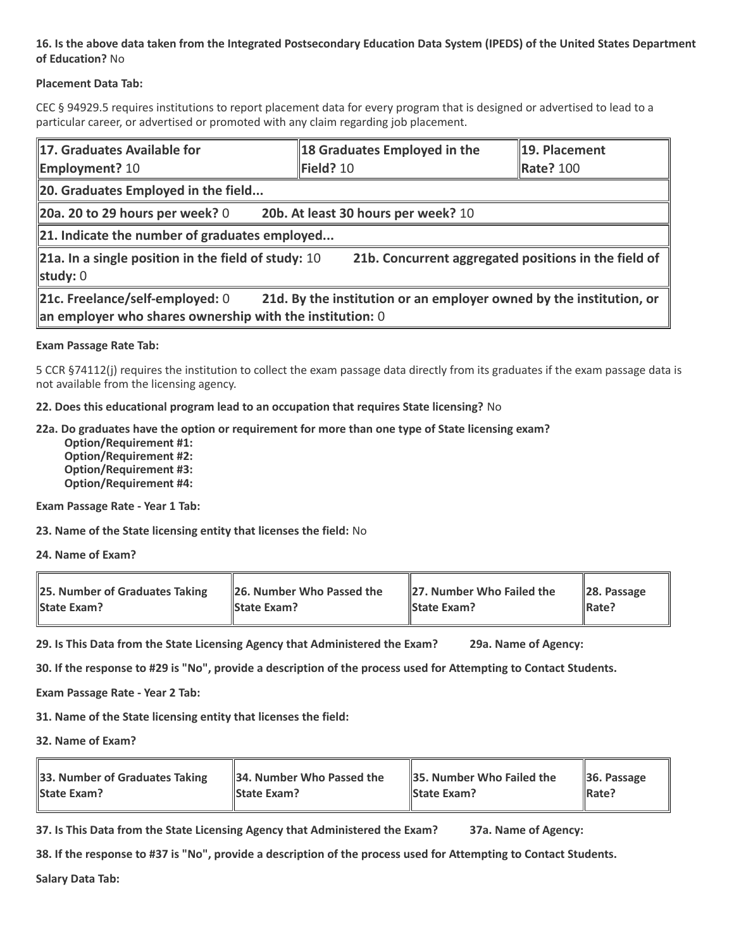#### **16. Is the above data taken from the Integrated Postsecondary Education Data System (IPEDS) of the United States Department of Education?** No

#### **Placement Data Tab:**

CEC § 94929.5 requires institutions to report placement data for every program that is designed or advertised to lead to a particular career, or advertised or promoted with any claim regarding job placement.

| 17. Graduates Available for<br><b>Employment? 10</b>                                                                                                                 | 18 Graduates Employed in the<br>Field? 10 | 19. Placement<br>Rate? 100 |  |  |
|----------------------------------------------------------------------------------------------------------------------------------------------------------------------|-------------------------------------------|----------------------------|--|--|
| 20. Graduates Employed in the field                                                                                                                                  |                                           |                            |  |  |
| 20a. 20 to 29 hours per week? $0$                                                                                                                                    | 20b. At least 30 hours per week? 10       |                            |  |  |
| 21. Indicate the number of graduates employed                                                                                                                        |                                           |                            |  |  |
| $21a$ . In a single position in the field of study: 10<br>21b. Concurrent aggregated positions in the field of<br>study: 0                                           |                                           |                            |  |  |
| 21c. Freelance/self-employed: 0<br>21d. By the institution or an employer owned by the institution, or<br>an employer who shares ownership with the institution: $0$ |                                           |                            |  |  |

#### **Exam Passage Rate Tab:**

5 CCR §74112(j) requires the institution to collect the exam passage data directly from its graduates if the exam passage data is not available from the licensing agency.

**22. Does this educational program lead to an occupation that requires State licensing?** No

#### **22a. Do graduates have the option or requirement for more than one type of State licensing exam?**

 **Option/Requirement #1: Option/Requirement #2: Option/Requirement #3: Option/Requirement #4:**

**Exam Passage Rate - Year 1 Tab:**

**23. Name of the State licensing entity that licenses the field:** No

**24. Name of Exam?**

| 25. Number of Graduates Taking | 26. Number Who Passed the | 27. Number Who Failed the | $\ $ 28. Passage |
|--------------------------------|---------------------------|---------------------------|------------------|
| <b>State Exam?</b>             | <b>State Exam?</b>        | <b>State Exam?</b>        | Rate?            |

**29. Is This Data from the State Licensing Agency that Administered the Exam? 29a. Name of Agency:**

**30. If the response to #29 is "No", provide a description of the process used for Attempting to Contact Students.**

**Exam Passage Rate - Year 2 Tab:**

**31. Name of the State licensing entity that licenses the field:**

**32. Name of Exam?**

| 33. Number of Graduates Taking | 34. Number Who Passed the | <b>35. Number Who Failed the</b> | $\parallel$ 36. Passage |
|--------------------------------|---------------------------|----------------------------------|-------------------------|
| <b>State Exam?</b>             | <b>State Exam?</b>        | <b>State Exam?</b>               | $\parallel$ Rate?       |

**37. Is This Data from the State Licensing Agency that Administered the Exam? 37a. Name of Agency:**

**38. If the response to #37 is "No", provide a description of the process used for Attempting to Contact Students.** 

**Salary Data Tab:**